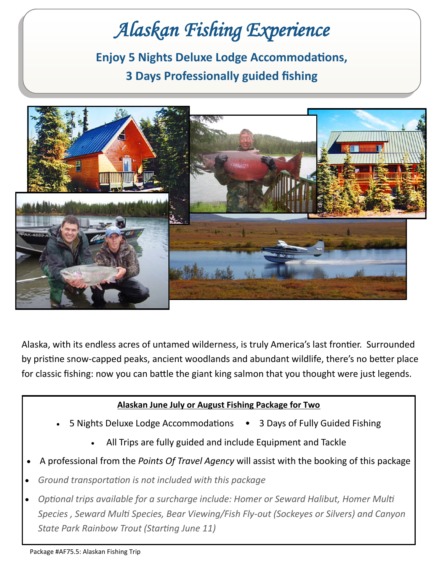## *Alaskan Fishing Experience*  **Enjoy 5 Nights Deluxe Lodge Accommodations, 3 Days Professionally guided fishing**



Alaska, with its endless acres of untamed wilderness, is truly America's last frontier. Surrounded by pristine snow-capped peaks, ancient woodlands and abundant wildlife, there's no better place for classic fishing: now you can battle the giant king salmon that you thought were just legends.

## **Alaskan June July or August Fishing Package for Two**

- 5 Nights Deluxe Lodge Accommodations 3 Days of Fully Guided Fishing
	- All Trips are fully guided and include Equipment and Tackle
- A professional from the *Points Of Travel Agency* will assist with the booking of this package
- *Ground transportation is not included with this package*
- *Optional trips available for a surcharge include: Homer or Seward Halibut, Homer Multi Species , Seward Multi Species, Bear Viewing/Fish Fly-out (Sockeyes or Silvers) and Canyon State Park Rainbow Trout (Starting June 11)*